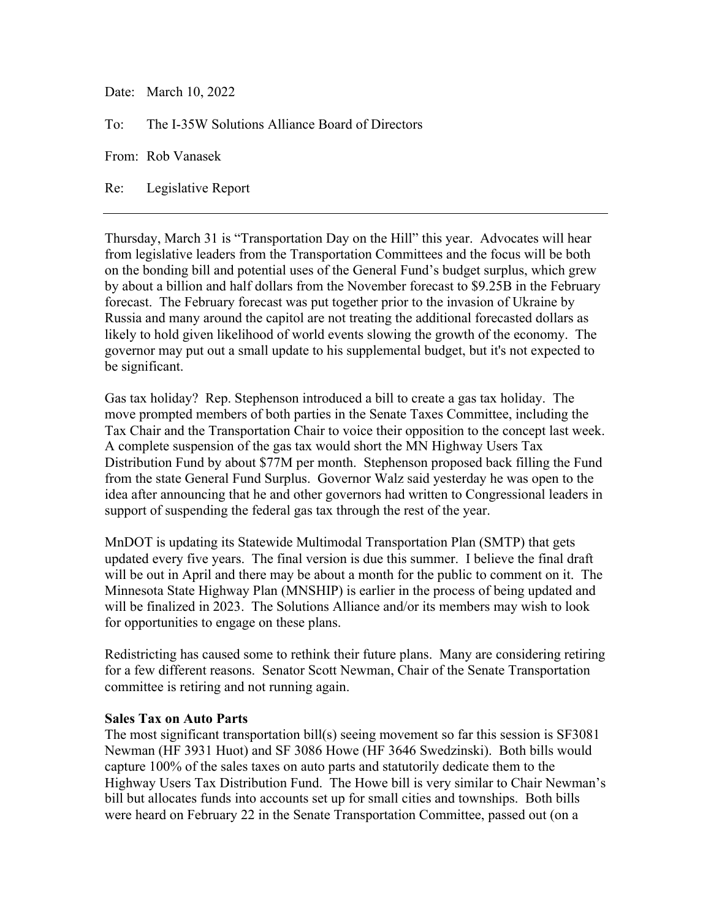Date: March 10, 2022

To: The I-35W Solutions Alliance Board of Directors

From: Rob Vanasek

Re: Legislative Report

Thursday, March 31 is "Transportation Day on the Hill" this year. Advocates will hear from legislative leaders from the Transportation Committees and the focus will be both on the bonding bill and potential uses of the General Fund's budget surplus, which grew by about a billion and half dollars from the November forecast to \$9.25B in the February forecast. The February forecast was put together prior to the invasion of Ukraine by Russia and many around the capitol are not treating the additional forecasted dollars as likely to hold given likelihood of world events slowing the growth of the economy. The governor may put out a small update to his supplemental budget, but it's not expected to be significant.

Gas tax holiday? Rep. Stephenson introduced a bill to create a gas tax holiday. The move prompted members of both parties in the Senate Taxes Committee, including the Tax Chair and the Transportation Chair to voice their opposition to the concept last week. A complete suspension of the gas tax would short the MN Highway Users Tax Distribution Fund by about \$77M per month. Stephenson proposed back filling the Fund from the state General Fund Surplus. Governor Walz said yesterday he was open to the idea after announcing that he and other governors had written to Congressional leaders in support of suspending the federal gas tax through the rest of the year.

MnDOT is updating its Statewide Multimodal Transportation Plan (SMTP) that gets updated every five years. The final version is due this summer. I believe the final draft will be out in April and there may be about a month for the public to comment on it. The Minnesota State Highway Plan (MNSHIP) is earlier in the process of being updated and will be finalized in 2023. The Solutions Alliance and/or its members may wish to look for opportunities to engage on these plans.

Redistricting has caused some to rethink their future plans. Many are considering retiring for a few different reasons. Senator Scott Newman, Chair of the Senate Transportation committee is retiring and not running again.

## **Sales Tax on Auto Parts**

The most significant transportation bill(s) seeing movement so far this session is SF3081 Newman (HF 3931 Huot) and SF 3086 Howe (HF 3646 Swedzinski). Both bills would capture 100% of the sales taxes on auto parts and statutorily dedicate them to the Highway Users Tax Distribution Fund. The Howe bill is very similar to Chair Newman's bill but allocates funds into accounts set up for small cities and townships. Both bills were heard on February 22 in the Senate Transportation Committee, passed out (on a